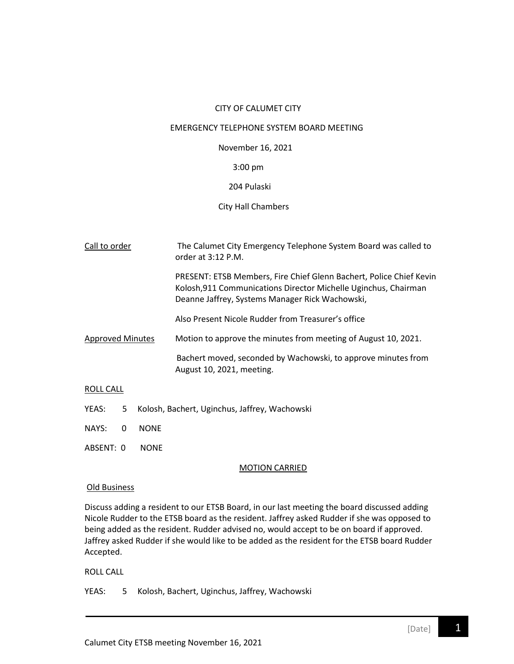#### CITY OF CALUMET CITY

#### EMERGENCY TELEPHONE SYSTEM BOARD MEETING

November 16, 2021

#### 3:00 pm

# 204 Pulaski

# City Hall Chambers

| Call to order           | The Calumet City Emergency Telephone System Board was called to<br>order at $3:12$ P.M.                                                                                                   |
|-------------------------|-------------------------------------------------------------------------------------------------------------------------------------------------------------------------------------------|
|                         | PRESENT: ETSB Members, Fire Chief Glenn Bachert, Police Chief Kevin<br>Kolosh, 911 Communications Director Michelle Uginchus, Chairman<br>Deanne Jaffrey, Systems Manager Rick Wachowski, |
|                         | Also Present Nicole Rudder from Treasurer's office                                                                                                                                        |
| <b>Approved Minutes</b> | Motion to approve the minutes from meeting of August 10, 2021.                                                                                                                            |
|                         | Bachert moved, seconded by Wachowski, to approve minutes from<br>August 10, 2021, meeting.                                                                                                |

#### ROLL CALL

- YEAS: 5 Kolosh, Bachert, Uginchus, Jaffrey, Wachowski
- NAYS: 0 NONE
- ABSENT: 0 NONE

# MOTION CARRIED

#### Old Business

Discuss adding a resident to our ETSB Board, in our last meeting the board discussed adding Nicole Rudder to the ETSB board as the resident. Jaffrey asked Rudder if she was opposed to being added as the resident. Rudder advised no, would accept to be on board if approved. Jaffrey asked Rudder if she would like to be added as the resident for the ETSB board Rudder Accepted.

# ROLL CALL

YEAS: 5 Kolosh, Bachert, Uginchus, Jaffrey, Wachowski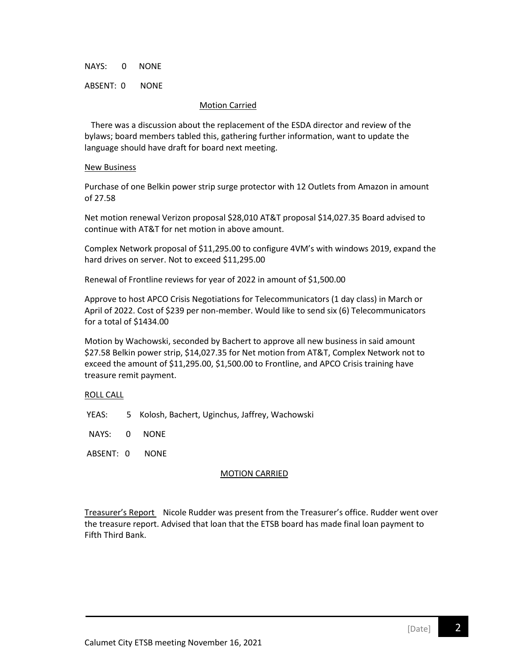NAYS: 0 NONE

ABSENT: 0 NONE

#### Motion Carried

 There was a discussion about the replacement of the ESDA director and review of the bylaws; board members tabled this, gathering further information, want to update the language should have draft for board next meeting.

#### New Business

Purchase of one Belkin power strip surge protector with 12 Outlets from Amazon in amount of 27.58

Net motion renewal Verizon proposal \$28,010 AT&T proposal \$14,027.35 Board advised to continue with AT&T for net motion in above amount.

Complex Network proposal of \$11,295.00 to configure 4VM's with windows 2019, expand the hard drives on server. Not to exceed \$11,295.00

Renewal of Frontline reviews for year of 2022 in amount of \$1,500.00

Approve to host APCO Crisis Negotiations for Telecommunicators (1 day class) in March or April of 2022. Cost of \$239 per non-member. Would like to send six (6) Telecommunicators for a total of \$1434.00

Motion by Wachowski, seconded by Bachert to approve all new business in said amount \$27.58 Belkin power strip, \$14,027.35 for Net motion from AT&T, Complex Network not to exceed the amount of \$11,295.00, \$1,500.00 to Frontline, and APCO Crisis training have treasure remit payment.

# ROLL CALL

YEAS: 5 Kolosh, Bachert, Uginchus, Jaffrey, Wachowski

NAYS: 0 NONE

ABSENT: 0 NONE

# MOTION CARRIED

Treasurer's Report Nicole Rudder was present from the Treasurer's office. Rudder went over the treasure report. Advised that loan that the ETSB board has made final loan payment to Fifth Third Bank.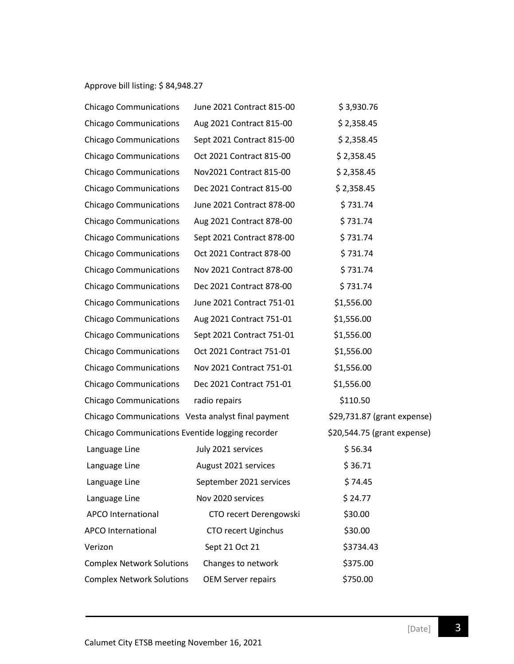# Approve bill listing: \$ 84,948.27

| <b>Chicago Communications</b>                      | June 2021 Contract 815-00 | \$3,930.76                  |
|----------------------------------------------------|---------------------------|-----------------------------|
| <b>Chicago Communications</b>                      | Aug 2021 Contract 815-00  | \$2,358.45                  |
| <b>Chicago Communications</b>                      | Sept 2021 Contract 815-00 | \$2,358.45                  |
| <b>Chicago Communications</b>                      | Oct 2021 Contract 815-00  | \$2,358.45                  |
| <b>Chicago Communications</b>                      | Nov2021 Contract 815-00   | \$2,358.45                  |
| <b>Chicago Communications</b>                      | Dec 2021 Contract 815-00  | \$2,358.45                  |
| <b>Chicago Communications</b>                      | June 2021 Contract 878-00 | \$731.74                    |
| <b>Chicago Communications</b>                      | Aug 2021 Contract 878-00  | \$731.74                    |
| <b>Chicago Communications</b>                      | Sept 2021 Contract 878-00 | \$731.74                    |
| <b>Chicago Communications</b>                      | Oct 2021 Contract 878-00  | \$731.74                    |
| <b>Chicago Communications</b>                      | Nov 2021 Contract 878-00  | \$731.74                    |
| <b>Chicago Communications</b>                      | Dec 2021 Contract 878-00  | \$731.74                    |
| <b>Chicago Communications</b>                      | June 2021 Contract 751-01 | \$1,556.00                  |
| <b>Chicago Communications</b>                      | Aug 2021 Contract 751-01  | \$1,556.00                  |
| <b>Chicago Communications</b>                      | Sept 2021 Contract 751-01 | \$1,556.00                  |
| <b>Chicago Communications</b>                      | Oct 2021 Contract 751-01  | \$1,556.00                  |
| <b>Chicago Communications</b>                      | Nov 2021 Contract 751-01  | \$1,556.00                  |
| <b>Chicago Communications</b>                      | Dec 2021 Contract 751-01  | \$1,556.00                  |
| <b>Chicago Communications</b>                      | radio repairs             | \$110.50                    |
| Chicago Communications Vesta analyst final payment |                           | \$29,731.87 (grant expense) |
| Chicago Communications Eventide logging recorder   |                           | \$20,544.75 (grant expense) |
| Language Line                                      | July 2021 services        | \$56.34                     |
| Language Line                                      | August 2021 services      | \$36.71                     |
| Language Line                                      | September 2021 services   | \$74.45                     |
| Language Line                                      | Nov 2020 services         | \$24.77                     |
| <b>APCO International</b>                          | CTO recert Derengowski    | \$30.00                     |
| <b>APCO International</b>                          | CTO recert Uginchus       | \$30.00                     |
| Verizon                                            | Sept 21 Oct 21            | \$3734.43                   |
| <b>Complex Network Solutions</b>                   | Changes to network        | \$375.00                    |
| <b>Complex Network Solutions</b>                   | <b>OEM Server repairs</b> | \$750.00                    |